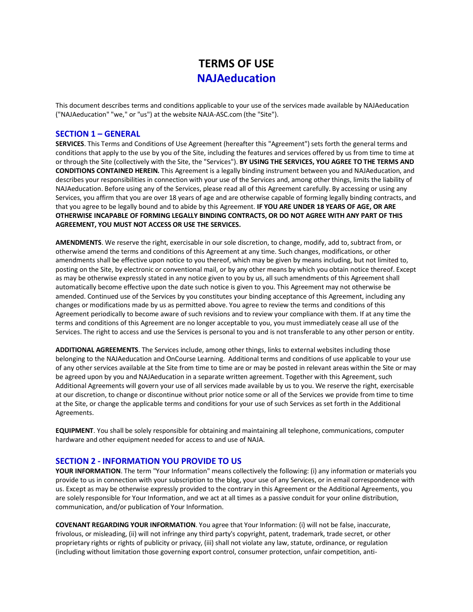# **TERMS OF USE NAJAeducation**

This document describes terms and conditions applicable to your use of the services made available by NAJAeducation ("NAJAeducation" "we," or "us") at the website NAJA-ASC.com (the "Site").

#### **SECTION 1 – GENERAL**

**SERVICES**. This Terms and Conditions of Use Agreement (hereafter this "Agreement") sets forth the general terms and conditions that apply to the use by you of the Site, including the features and services offered by us from time to time at or through the Site (collectively with the Site, the "Services"). **BY USING THE SERVICES, YOU AGREE TO THE TERMS AND CONDITIONS CONTAINED HEREIN.** This Agreement is a legally binding instrument between you and NAJAeducation, and describes your responsibilities in connection with your use of the Services and, among other things, limits the liability of NAJAeducation. Before using any of the Services, please read all of this Agreement carefully. By accessing or using any Services, you affirm that you are over 18 years of age and are otherwise capable of forming legally binding contracts, and that you agree to be legally bound and to abide by this Agreement. **IF YOU ARE UNDER 18 YEARS OF AGE, OR ARE OTHERWISE INCAPABLE OF FORMING LEGALLY BINDING CONTRACTS, OR DO NOT AGREE WITH ANY PART OF THIS AGREEMENT, YOU MUST NOT ACCESS OR USE THE SERVICES.**

**AMENDMENTS**. We reserve the right, exercisable in our sole discretion, to change, modify, add to, subtract from, or otherwise amend the terms and conditions of this Agreement at any time. Such changes, modifications, or other amendments shall be effective upon notice to you thereof, which may be given by means including, but not limited to, posting on the Site, by electronic or conventional mail, or by any other means by which you obtain notice thereof. Except as may be otherwise expressly stated in any notice given to you by us, all such amendments of this Agreement shall automatically become effective upon the date such notice is given to you. This Agreement may not otherwise be amended. Continued use of the Services by you constitutes your binding acceptance of this Agreement, including any changes or modifications made by us as permitted above. You agree to review the terms and conditions of this Agreement periodically to become aware of such revisions and to review your compliance with them. If at any time the terms and conditions of this Agreement are no longer acceptable to you, you must immediately cease all use of the Services. The right to access and use the Services is personal to you and is not transferable to any other person or entity.

**ADDITIONAL AGREEMENTS**. The Services include, among other things, links to external websites including those belonging to the NAJAeducation and OnCourse Learning. Additional terms and conditions of use applicable to your use of any other services available at the Site from time to time are or may be posted in relevant areas within the Site or may be agreed upon by you and NAJAeducation in a separate written agreement. Together with this Agreement, such Additional Agreements will govern your use of all services made available by us to you. We reserve the right, exercisable at our discretion, to change or discontinue without prior notice some or all of the Services we provide from time to time at the Site, or change the applicable terms and conditions for your use of such Services as set forth in the Additional Agreements.

**EQUIPMENT**. You shall be solely responsible for obtaining and maintaining all telephone, communications, computer hardware and other equipment needed for access to and use of NAJA.

#### **SECTION 2 - INFORMATION YOU PROVIDE TO US**

**YOUR INFORMATION**. The term "Your Information" means collectively the following: (i) any information or materials you provide to us in connection with your subscription to the blog, your use of any Services, or in email correspondence with us. Except as may be otherwise expressly provided to the contrary in this Agreement or the Additional Agreements, you are solely responsible for Your Information, and we act at all times as a passive conduit for your online distribution, communication, and/or publication of Your Information.

**COVENANT REGARDING YOUR INFORMATION**. You agree that Your Information: (i) will not be false, inaccurate, frivolous, or misleading, (ii) will not infringe any third party's copyright, patent, trademark, trade secret, or other proprietary rights or rights of publicity or privacy, (iii) shall not violate any law, statute, ordinance, or regulation (including without limitation those governing export control, consumer protection, unfair competition, anti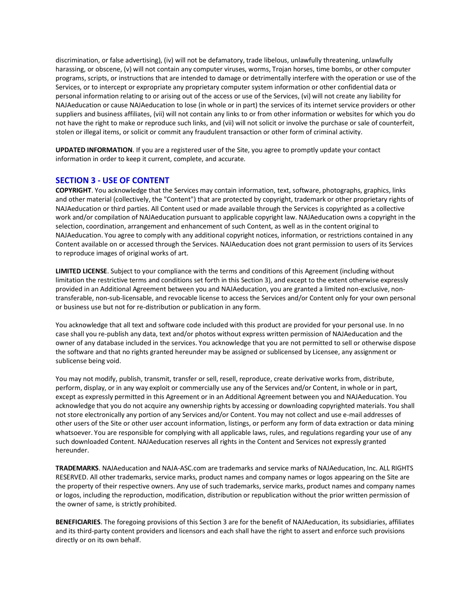discrimination, or false advertising), (iv) will not be defamatory, trade libelous, unlawfully threatening, unlawfully harassing, or obscene, (v) will not contain any computer viruses, worms, Trojan horses, time bombs, or other computer programs, scripts, or instructions that are intended to damage or detrimentally interfere with the operation or use of the Services, or to intercept or expropriate any proprietary computer system information or other confidential data or personal information relating to or arising out of the access or use of the Services, (vi) will not create any liability for NAJAeducation or cause NAJAeducation to lose (in whole or in part) the services of its internet service providers or other suppliers and business affiliates, (vii) will not contain any links to or from other information or websites for which you do not have the right to make or reproduce such links, and (vii) will not solicit or involve the purchase or sale of counterfeit, stolen or illegal items, or solicit or commit any fraudulent transaction or other form of criminal activity.

**UPDATED INFORMATION**. If you are a registered user of the Site, you agree to promptly update your contact information in order to keep it current, complete, and accurate.

#### **SECTION 3 - USE OF CONTENT**

**COPYRIGHT**. You acknowledge that the Services may contain information, text, software, photographs, graphics, links and other material (collectively, the "Content") that are protected by copyright, trademark or other proprietary rights of NAJAeducation or third parties. All Content used or made available through the Services is copyrighted as a collective work and/or compilation of NAJAeducation pursuant to applicable copyright law. NAJAeducation owns a copyright in the selection, coordination, arrangement and enhancement of such Content, as well as in the content original to NAJAeducation. You agree to comply with any additional copyright notices, information, or restrictions contained in any Content available on or accessed through the Services. NAJAeducation does not grant permission to users of its Services to reproduce images of original works of art.

**LIMITED LICENSE**. Subject to your compliance with the terms and conditions of this Agreement (including without limitation the restrictive terms and conditions set forth in this Section 3), and except to the extent otherwise expressly provided in an Additional Agreement between you and NAJAeducation, you are granted a limited non-exclusive, nontransferable, non-sub-licensable, and revocable license to access the Services and/or Content only for your own personal or business use but not for re-distribution or publication in any form.

You acknowledge that all text and software code included with this product are provided for your personal use. In no case shall you re-publish any data, text and/or photos without express written permission of NAJAeducation and the owner of any database included in the services. You acknowledge that you are not permitted to sell or otherwise dispose the software and that no rights granted hereunder may be assigned or sublicensed by Licensee, any assignment or sublicense being void.

You may not modify, publish, transmit, transfer or sell, resell, reproduce, create derivative works from, distribute, perform, display, or in any way exploit or commercially use any of the Services and/or Content, in whole or in part, except as expressly permitted in this Agreement or in an Additional Agreement between you and NAJAeducation. You acknowledge that you do not acquire any ownership rights by accessing or downloading copyrighted materials. You shall not store electronically any portion of any Services and/or Content. You may not collect and use e-mail addresses of other users of the Site or other user account information, listings, or perform any form of data extraction or data mining whatsoever. You are responsible for complying with all applicable laws, rules, and regulations regarding your use of any such downloaded Content. NAJAeducation reserves all rights in the Content and Services not expressly granted hereunder.

**TRADEMARKS**. NAJAeducation and NAJA-ASC.com are trademarks and service marks of NAJAeducation, Inc. ALL RIGHTS RESERVED. All other trademarks, service marks, product names and company names or logos appearing on the Site are the property of their respective owners. Any use of such trademarks, service marks, product names and company names or logos, including the reproduction, modification, distribution or republication without the prior written permission of the owner of same, is strictly prohibited.

**BENEFICIARIES**. The foregoing provisions of this Section 3 are for the benefit of NAJAeducation, its subsidiaries, affiliates and its third-party content providers and licensors and each shall have the right to assert and enforce such provisions directly or on its own behalf.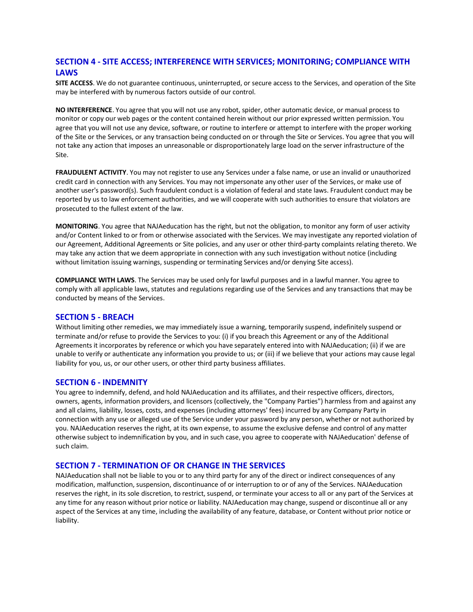## **SECTION 4 - SITE ACCESS; INTERFERENCE WITH SERVICES; MONITORING; COMPLIANCE WITH LAWS**

**SITE ACCESS**. We do not guarantee continuous, uninterrupted, or secure access to the Services, and operation of the Site may be interfered with by numerous factors outside of our control.

**NO INTERFERENCE**. You agree that you will not use any robot, spider, other automatic device, or manual process to monitor or copy our web pages or the content contained herein without our prior expressed written permission. You agree that you will not use any device, software, or routine to interfere or attempt to interfere with the proper working of the Site or the Services, or any transaction being conducted on or through the Site or Services. You agree that you will not take any action that imposes an unreasonable or disproportionately large load on the server infrastructure of the Site.

**FRAUDULENT ACTIVITY**. You may not register to use any Services under a false name, or use an invalid or unauthorized credit card in connection with any Services. You may not impersonate any other user of the Services, or make use of another user's password(s). Such fraudulent conduct is a violation of federal and state laws. Fraudulent conduct may be reported by us to law enforcement authorities, and we will cooperate with such authorities to ensure that violators are prosecuted to the fullest extent of the law.

**MONITORING**. You agree that NAJAeducation has the right, but not the obligation, to monitor any form of user activity and/or Content linked to or from or otherwise associated with the Services. We may investigate any reported violation of our Agreement, Additional Agreements or Site policies, and any user or other third-party complaints relating thereto. We may take any action that we deem appropriate in connection with any such investigation without notice (including without limitation issuing warnings, suspending or terminating Services and/or denying Site access).

**COMPLIANCE WITH LAWS**. The Services may be used only for lawful purposes and in a lawful manner. You agree to comply with all applicable laws, statutes and regulations regarding use of the Services and any transactions that may be conducted by means of the Services.

#### **SECTION 5 - BREACH**

Without limiting other remedies, we may immediately issue a warning, temporarily suspend, indefinitely suspend or terminate and/or refuse to provide the Services to you: (i) if you breach this Agreement or any of the Additional Agreements it incorporates by reference or which you have separately entered into with NAJAeducation; (ii) if we are unable to verify or authenticate any information you provide to us; or (iii) if we believe that your actions may cause legal liability for you, us, or our other users, or other third party business affiliates.

#### **SECTION 6 - INDEMNITY**

You agree to indemnify, defend, and hold NAJAeducation and its affiliates, and their respective officers, directors, owners, agents, information providers, and licensors (collectively, the "Company Parties") harmless from and against any and all claims, liability, losses, costs, and expenses (including attorneys' fees) incurred by any Company Party in connection with any use or alleged use of the Service under your password by any person, whether or not authorized by you. NAJAeducation reserves the right, at its own expense, to assume the exclusive defense and control of any matter otherwise subject to indemnification by you, and in such case, you agree to cooperate with NAJAeducation' defense of such claim.

#### **SECTION 7 - TERMINATION OF OR CHANGE IN THE SERVICES**

NAJAeducation shall not be liable to you or to any third party for any of the direct or indirect consequences of any modification, malfunction, suspension, discontinuance of or interruption to or of any of the Services. NAJAeducation reserves the right, in its sole discretion, to restrict, suspend, or terminate your access to all or any part of the Services at any time for any reason without prior notice or liability. NAJAeducation may change, suspend or discontinue all or any aspect of the Services at any time, including the availability of any feature, database, or Content without prior notice or liability.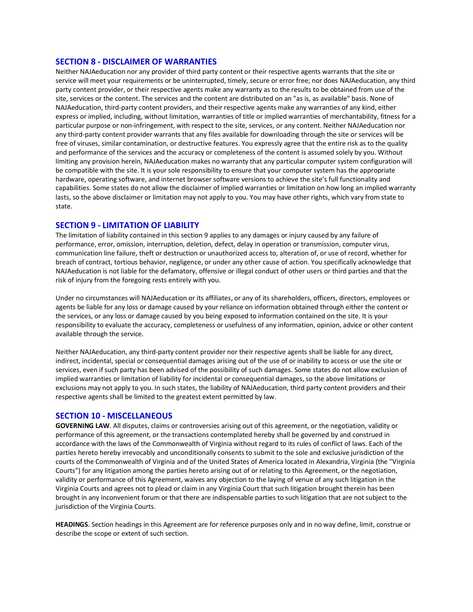#### **SECTION 8 - DISCLAIMER OF WARRANTIES**

Neither NAJAeducation nor any provider of third party content or their respective agents warrants that the site or service will meet your requirements or be uninterrupted, timely, secure or error free; nor does NAJAeducation, any third party content provider, or their respective agents make any warranty as to the results to be obtained from use of the site, services or the content. The services and the content are distributed on an "as is, as available" basis. None of NAJAeducation, third-party content providers, and their respective agents make any warranties of any kind, either express or implied, including, without limitation, warranties of title or implied warranties of merchantability, fitness for a particular purpose or non-infringement, with respect to the site, services, or any content. Neither NAJAeducation nor any third-party content provider warrants that any files available for downloading through the site or services will be free of viruses, similar contamination, or destructive features. You expressly agree that the entire risk as to the quality and performance of the services and the accuracy or completeness of the content is assumed solely by you. Without limiting any provision herein, NAJAeducation makes no warranty that any particular computer system configuration will be compatible with the site. It is your sole responsibility to ensure that your computer system has the appropriate hardware, operating software, and internet browser software versions to achieve the site's full functionality and capabilities. Some states do not allow the disclaimer of implied warranties or limitation on how long an implied warranty lasts, so the above disclaimer or limitation may not apply to you. You may have other rights, which vary from state to state.

### **SECTION 9 - LIMITATION OF LIABILITY**

The limitation of liability contained in this section 9 applies to any damages or injury caused by any failure of performance, error, omission, interruption, deletion, defect, delay in operation or transmission, computer virus, communication line failure, theft or destruction or unauthorized access to, alteration of, or use of record, whether for breach of contract, tortious behavior, negligence, or under any other cause of action. You specifically acknowledge that NAJAeducation is not liable for the defamatory, offensive or illegal conduct of other users or third parties and that the risk of injury from the foregoing rests entirely with you.

Under no circumstances will NAJAeducation or its affiliates, or any of its shareholders, officers, directors, employees or agents be liable for any loss or damage caused by your reliance on information obtained through either the content or the services, or any loss or damage caused by you being exposed to information contained on the site. It is your responsibility to evaluate the accuracy, completeness or usefulness of any information, opinion, advice or other content available through the service.

Neither NAJAeducation, any third-party content provider nor their respective agents shall be liable for any direct, indirect, incidental, special or consequential damages arising out of the use of or inability to access or use the site or services, even if such party has been advised of the possibility of such damages. Some states do not allow exclusion of implied warranties or limitation of liability for incidental or consequential damages, so the above limitations or exclusions may not apply to you. In such states, the liability of NAJAeducation, third party content providers and their respective agents shall be limited to the greatest extent permitted by law.

#### **SECTION 10 - MISCELLANEOUS**

**GOVERNING LAW**. All disputes, claims or controversies arising out of this agreement, or the negotiation, validity or performance of this agreement, or the transactions contemplated hereby shall be governed by and construed in accordance with the laws of the Commonwealth of Virginia without regard to its rules of conflict of laws. Each of the parties hereto hereby irrevocably and unconditionally consents to submit to the sole and exclusive jurisdiction of the courts of the Commonwealth of Virginia and of the United States of America located in Alexandria, Virginia (the "Virginia Courts") for any litigation among the parties hereto arising out of or relating to this Agreement, or the negotiation, validity or performance of this Agreement, waives any objection to the laying of venue of any such litigation in the Virginia Courts and agrees not to plead or claim in any Virginia Court that such litigation brought therein has been brought in any inconvenient forum or that there are indispensable parties to such litigation that are not subject to the jurisdiction of the Virginia Courts.

**HEADINGS**. Section headings in this Agreement are for reference purposes only and in no way define, limit, construe or describe the scope or extent of such section.